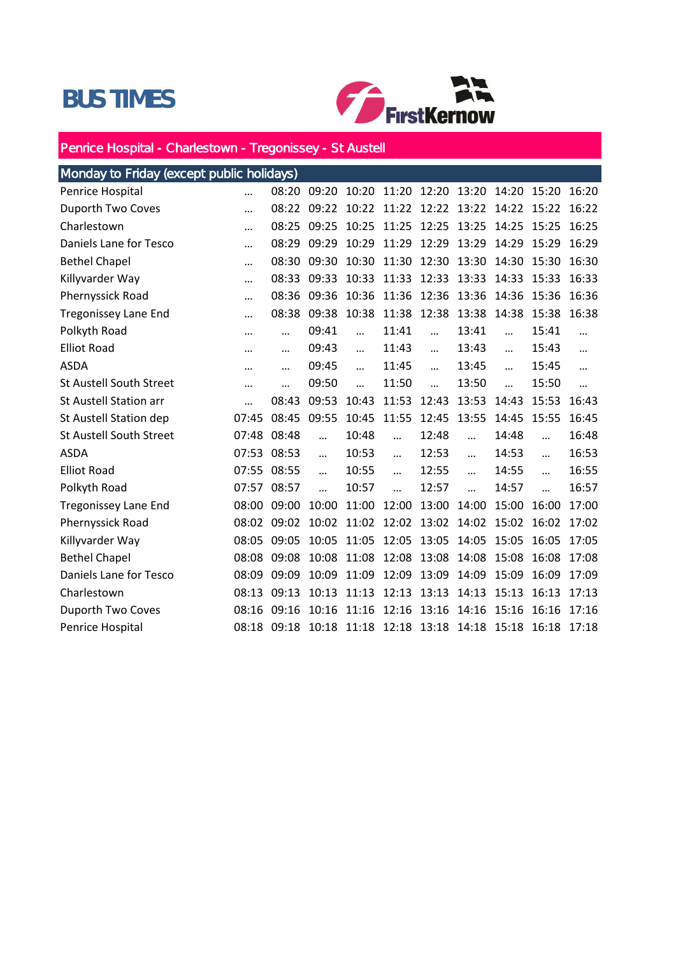## BUS TIMES



## Penrice Hospital - Charlestown - Tregonissey - St Austell

| Monday to Friday (except public holidays) |           |           |             |            |             |            |                                     |           |           |          |
|-------------------------------------------|-----------|-----------|-------------|------------|-------------|------------|-------------------------------------|-----------|-----------|----------|
| Penrice Hospital                          |           |           | 08:20 09:20 |            | 10:20 11:20 |            | 12:20 13:20 14:20 15:20 16:20       |           |           |          |
| Duporth Two Coves                         |           | 08:22     | 09:22       | 10:22      | 11:22       | 12:22      | 13:22                               | 14:22     | 15:22     | 16:22    |
| Charlestown                               |           | 08:25     | 09:25       | 10:25      | 11:25       | 12:25      | 13:25                               | 14:25     | 15:25     | 16:25    |
| Daniels Lane for Tesco                    |           | 08:29     | 09:29       | 10:29      | 11:29       | 12:29      | 13:29                               | 14:29     | 15:29     | 16:29    |
| <b>Bethel Chapel</b>                      |           | 08:30     | 09:30       | 10:30      | 11:30       | 12:30      | 13:30                               | 14:30     | 15:30     | 16:30    |
| Killyvarder Way                           |           | 08:33     | 09:33       | 10:33      | 11:33       | 12:33      | 13:33                               | 14:33     | 15:33     | 16:33    |
| Phernyssick Road                          |           | 08:36     | 09:36       | 10:36      | 11:36       | 12:36      | 13:36                               | 14:36     | 15:36     | 16:36    |
| <b>Tregonissey Lane End</b>               |           | 08:38     | 09:38       | 10:38      | 11:38       | 12:38      | 13:38                               | 14:38     | 15:38     | 16:38    |
| Polkyth Road                              | $\cdots$  | $\cdots$  | 09:41       | $\dddotsc$ | 11:41       | $\cdots$   | 13:41                               |           | 15:41     |          |
| <b>Elliot Road</b>                        |           | $\cdots$  | 09:43       | $\ddotsc$  | 11:43       | $\dddotsc$ | 13:43                               | $\ddotsc$ | 15:43     |          |
| <b>ASDA</b>                               |           | $\ddotsc$ | 09:45       | $\ddotsc$  | 11:45       | $\dddotsc$ | 13:45                               | $\ddotsc$ | 15:45     | $\cdots$ |
| <b>St Austell South Street</b>            |           |           | 09:50       | $\ddotsc$  | 11:50       | $\ddotsc$  | 13:50                               | $\ddotsc$ | 15:50     | $\cdots$ |
| <b>St Austell Station arr</b>             | $\ddotsc$ | 08:43     | 09:53       | 10:43      | 11:53       | 12:43      | 13:53                               | 14:43     | 15:53     | 16:43    |
| St Austell Station dep                    | 07:45     | 08:45     | 09:55       | 10:45      | 11:55       | 12:45      | 13:55                               | 14:45     | 15:55     | 16:45    |
| <b>St Austell South Street</b>            | 07:48     | 08:48     | $\dddotsc$  | 10:48      | $\dddotsc$  | 12:48      | $\dddotsc$                          | 14:48     | $\ddotsc$ | 16:48    |
| <b>ASDA</b>                               | 07:53     | 08:53     |             | 10:53      | $\ddotsc$   | 12:53      | $\ddotsc$                           | 14:53     | $\ddotsc$ | 16:53    |
| <b>Elliot Road</b>                        | 07:55     | 08:55     | $\ddotsc$   | 10:55      | $\dddotsc$  | 12:55      | $\cdots$                            | 14:55     | $\cdots$  | 16:55    |
| Polkyth Road                              | 07:57     | 08:57     | $\dddotsc$  | 10:57      | $\ddotsc$   | 12:57      | $\dddotsc$                          | 14:57     | $\ddotsc$ | 16:57    |
| <b>Tregonissey Lane End</b>               | 08:00     | 09:00     | 10:00       | 11:00      | 12:00       | 13:00      | 14:00                               | 15:00     | 16:00     | 17:00    |
| Phernyssick Road                          | 08:02     | 09:02     | 10:02       | 11:02      | 12:02       | 13:02      | 14:02                               | 15:02     | 16:02     | 17:02    |
| Killyvarder Way                           | 08:05     | 09:05     | 10:05       | 11:05      | 12:05       | 13:05      | 14:05                               | 15:05     | 16:05     | 17:05    |
| <b>Bethel Chapel</b>                      | 08:08     | 09:08     | 10:08       | 11:08      | 12:08       | 13:08      | 14:08                               | 15:08     | 16:08     | 17:08    |
| Daniels Lane for Tesco                    | 08:09     | 09:09     | 10:09       | 11:09      | 12:09       | 13:09      | 14:09                               | 15:09     | 16:09     | 17:09    |
| Charlestown                               | 08:13     | 09:13     | 10:13       | 11:13      | 12:13       | 13:13      | 14:13                               | 15:13     | 16:13     | 17:13    |
| Duporth Two Coves                         | 08:16     | 09:16     | 10:16       | 11:16      | 12:16       | 13:16      | 14:16                               | 15:16     | 16:16     | 17:16    |
| Penrice Hospital                          | 08:18     | 09:18     | 10:18       |            |             |            | 11:18 12:18 13:18 14:18 15:18 16:18 |           |           | 17:18    |